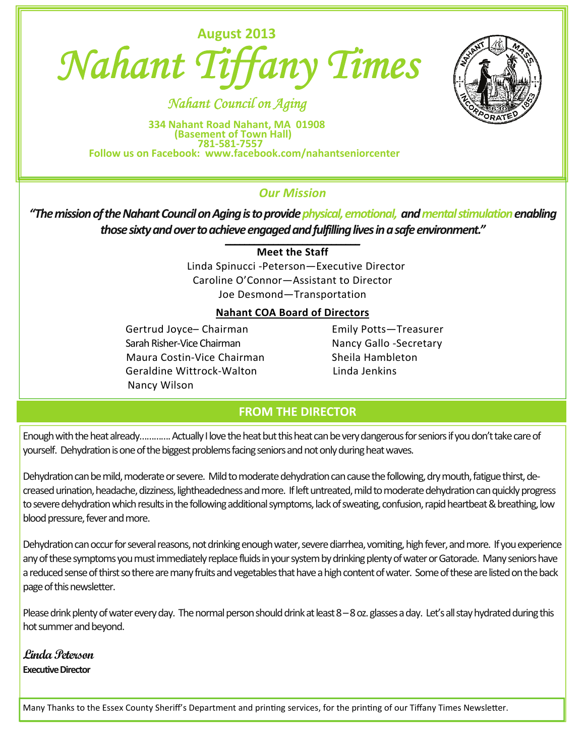

 *Nahant Council on Aging* 

334 Nahant Road Nahant, MA 01908<br>(Basement of Town Hall)<br>Follow us on Facebook: www.facebook.com/nahantseniorcenter

# *Our Mission*

*"ThemissionoftheNahantCouncilonAgingistoprovidephysical,emotional, andmentalstimulationenabling* those sixty and over to achieve engaged and fulfilling lives in a safe environment."

**Meet the Staff**

 Linda Spinucci ‐Peterson—Executive Director Caroline O'Connor—Assistant to Director Joe Desmond—Transportation

# **Nahant COA Board of Directors**

Gertrud Joyce- Chairman **Emily Potts-Treasurer**  SarahRisher‐Vice Chairman Nancy Gallo ‐Secretary Maura Costin-Vice Chairman **Sheila Hambleton**  Geraldine Wittrock‐Walton Linda Jenkins Nancy Wilson

# **FROM THE DIRECTOR**

Enough with the heat already…………. Actually I love the heat but this heat can be very dangerous for seniors if you don't take care of yourself. Dehydration is one of the biggest problems facing seniors and not only during heat waves.

Dehydration can be mild, moderate or severe. Mild to moderate dehydration can cause the following, dry mouth, fatigue thirst, decreased urination, headache, dizziness, lightheadedness and more. If left untreated, mild to moderate dehydration can quickly progress to severe dehydration which results in the following additional symptoms, lack of sweating, confusion, rapid heartbeat & breathing, low blood pressure, fever and more.

Dehydration can occur for several reasons, not drinking enough water, severe diarrhea, vomiting, high fever, and more. If you experience any of these symptoms you must immediately replace fluids in your system by drinking plenty of water or Gatorade. Many seniors have a reduced sense of thirst so there are many fruits and vegetables that have a high content of water. Some of these are listed on the back page of this newsletter.

Please drink plenty of water every day. The normal person should drink at least 8–8 oz. glasses a day. Let's all stay hydrated during this hot summer and beyond.

**Linda Peterson Executive Director** 

Many Thanks to the Essex County Sheriff's Department and printing services, for the printing of our Tiffany Times Newsletter.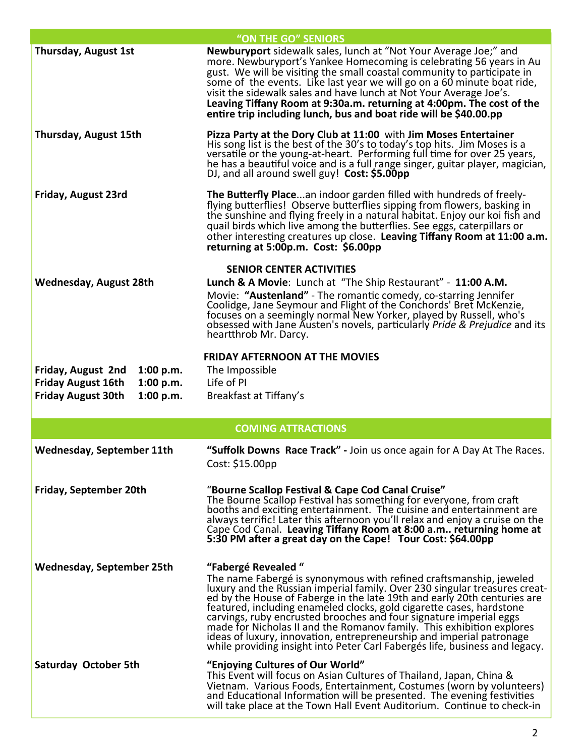|                                                                                                                     | "ON THE GO" SENIORS                                                                                                                                                                                                                                                                                                                                                                                                                                                                                                                                                                                                              |  |  |  |  |  |
|---------------------------------------------------------------------------------------------------------------------|----------------------------------------------------------------------------------------------------------------------------------------------------------------------------------------------------------------------------------------------------------------------------------------------------------------------------------------------------------------------------------------------------------------------------------------------------------------------------------------------------------------------------------------------------------------------------------------------------------------------------------|--|--|--|--|--|
| Thursday, August 1st                                                                                                | Newburyport sidewalk sales, lunch at "Not Your Average Joe;" and<br>more. Newburyport's Yankee Homecoming is celebrating 56 years in Au<br>gust. We will be visiting the small coastal community to participate in<br>some of the events. Like last year we will go on a 60 minute boat ride,<br>visit the sidewalk sales and have lunch at Not Your Average Joe's.<br>Leaving Tiffany Room at 9:30a.m. returning at 4:00pm. The cost of the<br>entire trip including lunch, bus and boat ride will be \$40.00.pp                                                                                                                |  |  |  |  |  |
| Thursday, August 15th                                                                                               | Pizza Party at the Dory Club at 11:00 with Jim Moses Entertainer<br>His song list is the best of the 30's to today's top hits. Jim Moses is a<br>versatile or the young-at-heart. Performing full time for over 25 years,<br>he has a beautiful voice and is a full range singer, guitar player, magician,<br>DJ, and all around swell guy! Cost: \$5.00pp                                                                                                                                                                                                                                                                       |  |  |  |  |  |
| Friday, August 23rd                                                                                                 | The Butterfly Placean indoor garden filled with hundreds of freely-<br>flying butterflies! Observe butterflies sipping from flowers, basking in<br>the sunshine and flying freely in a natural habitat. Enjoy our koi fish and<br>quail birds which live among the butterflies. See eggs, caterpillars or<br>other interesting creatures up close. Leaving Tiffany Room at 11:00 a.m.<br>returning at 5:00p.m. Cost: \$6.00pp                                                                                                                                                                                                    |  |  |  |  |  |
| <b>Wednesday, August 28th</b>                                                                                       | <b>SENIOR CENTER ACTIVITIES</b><br>Lunch & A Movie: Lunch at "The Ship Restaurant" - 11:00 A.M.<br>Movie: "Austenland" - The romantic comedy, co-starring Jennifer<br>Coolidge, Jane Seymour and Flight of the Conchords' Bret McKenzie,<br>focuses on a seemingly normal New Yorker, played by Russell, who's<br>obsessed with Jane Austen's novels, particularly Pride & Prejudice and its<br>heartthrob Mr. Darcy.                                                                                                                                                                                                            |  |  |  |  |  |
| Friday, August 2nd<br>1:00 p.m.<br>1:00 p.m.<br><b>Friday August 16th</b><br><b>Friday August 30th</b><br>1:00 p.m. | <b>FRIDAY AFTERNOON AT THE MOVIES</b><br>The Impossible<br>Life of PI<br>Breakfast at Tiffany's                                                                                                                                                                                                                                                                                                                                                                                                                                                                                                                                  |  |  |  |  |  |
|                                                                                                                     | <b>COMING ATTRACTIONS</b>                                                                                                                                                                                                                                                                                                                                                                                                                                                                                                                                                                                                        |  |  |  |  |  |
|                                                                                                                     |                                                                                                                                                                                                                                                                                                                                                                                                                                                                                                                                                                                                                                  |  |  |  |  |  |
| <b>Wednesday, September 11th</b>                                                                                    | "Suffolk Downs Race Track" - Join us once again for A Day At The Races.<br>Cost: \$15.00pp                                                                                                                                                                                                                                                                                                                                                                                                                                                                                                                                       |  |  |  |  |  |
| Friday, September 20th                                                                                              | "Bourne Scallop Festival & Cape Cod Canal Cruise"<br>The Bourne Scallop Festival has something for everyone, from craft<br>booths and exciting entertainment. The cuisine and entertainment are<br>always terrific! Later this afternoon you'll relax and enjoy a cruise on the<br>Cape Cod Canal. Leaving Tiffany Room at 8:00 a.m returning home at<br>5:30 PM after a great day on the Cape! Tour Cost: \$64.00pp                                                                                                                                                                                                             |  |  |  |  |  |
| <b>Wednesday, September 25th</b>                                                                                    | "Fabergé Revealed"<br>The name Fabergé is synonymous with refined craftsmanship, jeweled<br>luxury and the Russian imperial family. Over 230 singular treasures creat-<br>ed by the House of Faberge in the late 19th and early 20th centuries are<br>featured, including enameled clocks, gold cigarette cases, hardstone<br>carvings, ruby encrusted brooches and four signature imperial eggs<br>made for Nicholas II and the Romanov family. This exhibition explores<br>ideas of luxury, innovation, entrepreneurship and imperial patronage<br>while providing insight into Peter Carl Fabergés life, business and legacy. |  |  |  |  |  |
| Saturday October 5th                                                                                                | "Enjoying Cultures of Our World"<br>This Event will focus on Asian Cultures of Thailand, Japan, China &<br>Vietnam. Various Foods, Entertainment, Costumes (worn by volunteers)<br>and Educational Information will be presented. The evening festivities<br>will take place at the Town Hall Event Auditorium. Continue to check-in                                                                                                                                                                                                                                                                                             |  |  |  |  |  |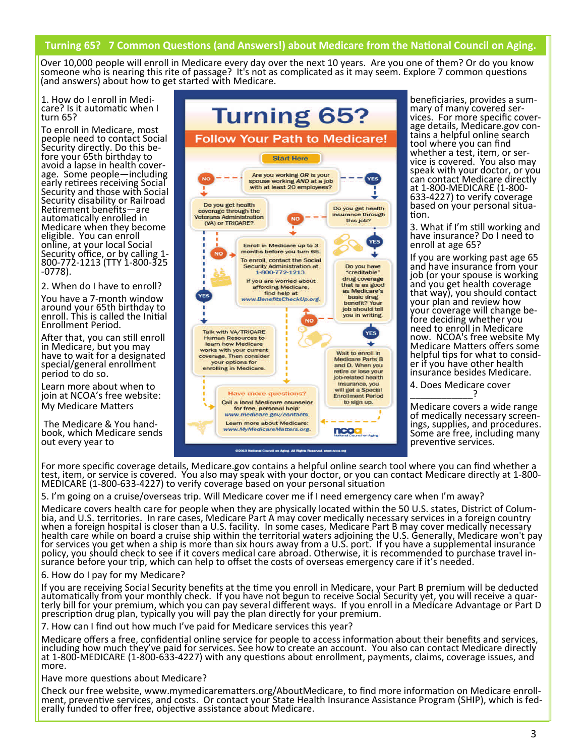#### Turning 65? 7 Common Questions (and Answers!) about Medicare from the National Council on Aging.

 (and answers) about how to get started with Medicare. Over 10,000 people will enroll in Medicare every day over the next 10 years. Are you one of them? Or do you know someone who is nearing this rite of passage? It's not as complicated as it may seem. Explore 7 common questions

1. How do I enroll in Medicare? Is it automatic when I turn 65?

To enroll in Medicare, most people need to contact Social<br>Security directly. Do this before your 65th birthday to<br>avoid a lapse in health coverage. Some people—including<br>early retirees receiving Social Security and those with Social Security disability or Railroad Retirement benefits—are automatically enrolled in Medicare when they become eligible. You can enroll online, at your local Social Security office, or by calling 1-<br>800-772-1213 (TTY 1-800-325<br>-0778).

2. When do I have to enroll?

You have a 7‐month window around your 65th birthday to enroll. This is called the Initial Enrollment Period.

After that, you can still enroll in Medicare, but you may<br>have to wait for a designated<br>special/general enrollment period to do so.

Learn more about when to join at NCOA's free website: My Medicare Matters

The Medicare & You hand‐ book, which Medicare sends out every year to



beneficiaries, provides a sum-<br>mary of many covered ser-<br>vices. For more specific cover-<br>age details, Medicare.gov con-<br>tains a helpful online search tool where you can find whether a test, item, or ser-<br>vice is covered. You also may<br>speak with your doctor, or you can contact Medicare directly<br>at 1-800-MEDICARE (1-800-633-4227) to verify coverage<br>based on your personal situa-<br>tion.

3. What if I'm sƟll working and have insurance? Do I need to enroll at age 65?

If you are working past age 65<br>and have insurance from your job (or your spouse is working<br>and you get health coverage<br>that way), you should contact your plan and review how<br>your coverage will change before deciding whether you<br>need to enroll in Medicare<br>now. NCOA's free website My Medicare Matters offers some helpful tips for what to consid-<br>er if you have other health insurance besides Medicare.

4. Does Medicare cover \_\_\_\_\_\_\_\_\_\_\_\_?

Medicare covers a wide range<br>of medically necessary screen-<br>ings, supplies, and procedures. Some are free, including many prevenƟve services.

For more specific coverage details, Medicare.gov contains a helpful online search tool where you can find whether a test, item, or service is covered. You also may speak with your doctor, or you can contact Medicare directly at 1‐800‐<br>MEDICARE (1‐800‐633‐4227) to verify coverage based on your personal situation

5. I'm going on a cruise/overseas trip. Will Medicare cover me if I need emergency care when I'm away?

Medicare covers health care for people when they are physically located within the 50 U.S. states, District of Colum-<br>bia, and U.S. territories. In rare cases, Medicare Part A may cover medically necessary services in a fo policy, you should check to see if it covers medical care abroad. Otherwise, it is recommended to purchase travel in-<br>surance before your trip, which can help to offset the costs of overseas emergency care if it's needed.

6. How do I pay for my Medicare?

If you are receiving Social Security benefits at the time you enroll in Medicare, your Part B premium will be deducted<br>automatically from your monthly check. If you have not begun to receive Social Security yet, you will r terly bill for your premium, which you can pay several different ways. If you enroll in a Medicare Advantage or Part D prescription drug plan, typically you will pay the plan directly for your premium.

7. How can I find out how much I've paid for Medicare services this year?

Medicare offers a free, confidential online service for people to access information about their benefits and services, including how much they've paid for services. See how to create an account. You also can contact Medicare directly at 1-800-MEDICARE (1-800-633-4227) with any questions about enrollment, payments, claims, coverage issues, and more.

Have more questions about Medicare?

Check our free website, www.mymedicarematters.org/AboutMedicare, to find more information on Medicare enroll-<br>ment, preventive services, and costs. Or contact your State Health Insurance Assistance Program (SHIP), which is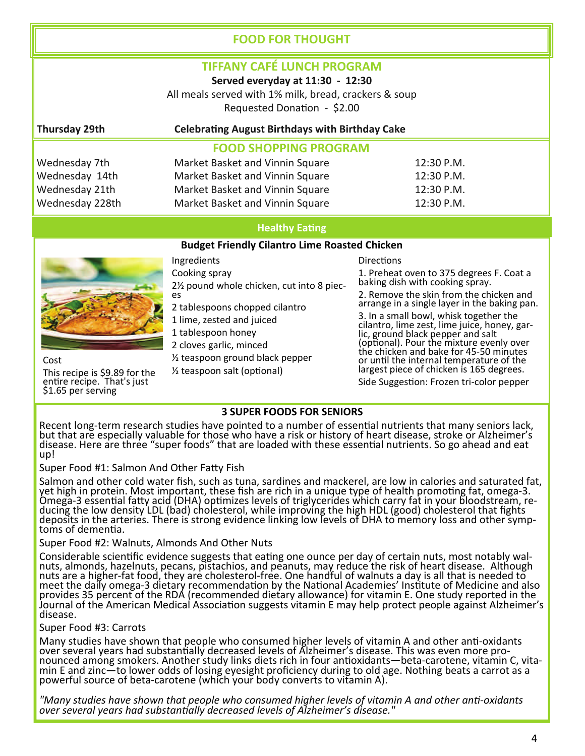# **FOOD FOR THOUGHT**

# **TIFFANY CAFÉ LUNCH PROGRAM**

**Served everyday at 11:30 ‐ 12:30**

All meals served with 1% milk, bread, crackers & soup Requested Donation - \$2.00

### **Thursday 29th CelebraƟng August Birthdays with Birthday Cake**

### **FOOD SHOPPING PROGRAM**

| Wednesday 7th   | Market Basket and Vinnin Square | 12:30 P.M. |
|-----------------|---------------------------------|------------|
| Wednesday 14th  | Market Basket and Vinnin Square | 12:30 P.M. |
| Wednesday 21th  | Market Basket and Vinnin Square | 12:30 P.M. |
| Wednesday 228th | Market Basket and Vinnin Square | 12:30 P.M. |

#### **Healthy** Eating

#### **Budget Friendly Cilantro Lime Roasted Chicken**



Cost This recipe is \$9.89 for the entire recipe. That's just<br>\$1.65 per serving

Ingredients Cooking spray 2½ pound whole chicken, cut into <sup>8</sup> piec‐ es 2 tablespoons chopped cilantro 1 lime, zested and juiced 1 tablespoon honey 2 cloves garlic, minced

½ teaspoon ground black pepper

 $\frac{1}{2}$  teaspoon salt (optional)

**Directions** 1. Preheat oven to 375 degrees F. Coat a baking dish with cooking spray. 2. Remove the skin from the chicken and arrange in a single layer in the baking pan. 3. In a small bowl, whisk together the cilantro, lime zest, lime juice, honey, gar-<br>lic, ground black pepper and salt (optional). Pour the mixture evenly over the chicken and bake for 45‐50 minutes or until the internal temperature of the largest piece of chicken is 165 degrees.

Side Suggestion: Frozen tri-color pepper

#### **3 SUPER FOODS FOR SENIORS**

Recent long-term research studies have pointed to a number of essential nutrients that many seniors lack, but that are especially valuable for those who have a risk or history of heart disease, stroke or Alzheimer's disease. Here are three "super foods" that are loaded with these essential nutrients. So go ahead and eat up!

Super Food #1: Salmon And Other Fatty Fish

Salmon and other cold water fish, such as tuna, sardines and mackerel, are low in calories and saturated fat, Samon and other cold water han, such as tuna, saruncs and mackerer, are low in calones and saturated rat<br>yet high in protein. Most important, these fish are rich in a unique type of health promoting fat, omega-3.<br>Omega-3 e ducing the low density LDL (bad) cholesterol, while improving the high HDL (good) cholesterol that fights<br>deposits in the arteries. There is strong evidence linking low levels of DHA to memory loss and other symptoms of de

#### Super Food #2: Walnuts, Almonds And Other Nuts

Considerable scientific evidence suggests that eating one ounce per day of certain nuts, most notably wal-<br>nuts, almonds, hazelnuts, pecans, pistachios, and peanuts, may reduce the risk of heart disease. Although nuts are a higher‐fat food, they are cholesterol‐free. One handful of walnuts a day is all that is needed to meet the daily omega-3 dietary recommendation by the National Academies' Institute of Medicine and also provides 35 percent of the RDA (recommended dietary allowance) for vitamin E. One study reported in the Journal of the American Medical Association suggests vitamin E may help protect people against Alzheimer's disease.

#### Super Food #3: Carrots

Many studies have shown that people who consumed higher levels of vitamin A and other anti-oxidants over several years had substantially decreased levels of Alzheimer's disease. This was even more proover several years had substantially decreased levels of Alzheimer's disease. This was even more pro-<br>nounced among smokers. Another study links diets rich in four antioxidants—beta-carotene, vitamin C, vita-<br>min E and zin powerful source of beta-carotene (which your body converts to vitamin A).  $\check{ }$ 

"Many studies have shown that people who consumed higher levels of vitamin A and other anti-oxidants *over several years had substanƟally decreased levels of Alzheimer's disease."*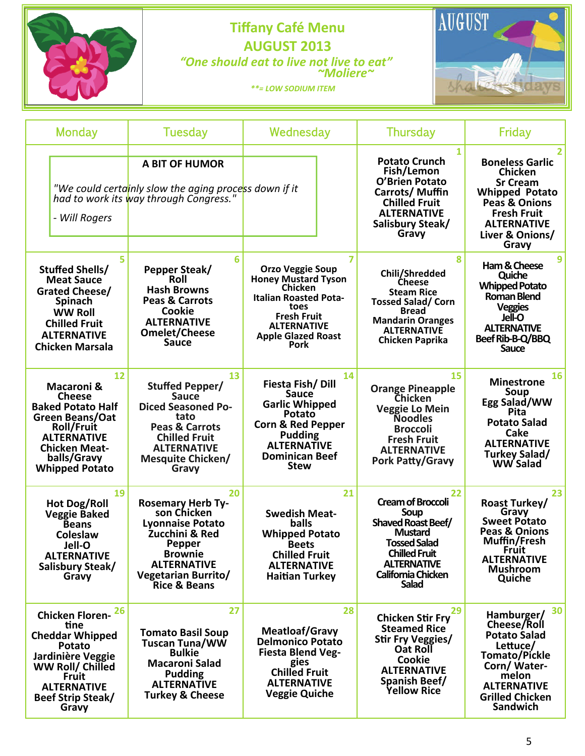

# **Tiffany Café** Menu<br> **AUGUST AUGUST 2013**  *"One should eat to live not live to eat" ~Moliere~*

sha avs

 *\*\*= LOW SODIUM ITEM* 

| Monday                                                                                                                                                                                                 | Tuesday                                                                                                                                                                                           | Wednesday                                                                                                                                                                                                          | <b>Thursday</b>                                                                                                                                                                           | Friday                                                                                                                                                                                   |
|--------------------------------------------------------------------------------------------------------------------------------------------------------------------------------------------------------|---------------------------------------------------------------------------------------------------------------------------------------------------------------------------------------------------|--------------------------------------------------------------------------------------------------------------------------------------------------------------------------------------------------------------------|-------------------------------------------------------------------------------------------------------------------------------------------------------------------------------------------|------------------------------------------------------------------------------------------------------------------------------------------------------------------------------------------|
| - Will Rogers                                                                                                                                                                                          | <b>A BIT OF HUMOR</b><br>"We could certainly slow the aging process down if it<br>had to work its way through Congress.                                                                           |                                                                                                                                                                                                                    | 1<br><b>Potato Crunch</b><br>Fish/Lemon<br><b>O'Brien Potato</b><br>Carrots/Muffin<br><b>Chilled Fruit</b><br><b>ALTERNATIVE</b><br>Salisbury Steak/<br>Gravy                             | <b>Boneless Garlic</b><br><b>Chicken</b><br><b>Sr Cream</b><br><b>Whipped Potato</b><br><b>Peas &amp; Onions</b><br><b>Fresh Fruit</b><br><b>ALTERNATIVE</b><br>Liver & Onions/<br>Gravy |
| 5<br>Stuffed Shells/<br><b>Meat Sauce</b><br>Grated Cheese/<br><b>Spinach</b><br><b>WW Roll</b><br><b>Chilled Fruit</b><br><b>ALTERNATIVE</b><br><b>Chicken Marsala</b>                                | 6<br>Pepper Steak/<br>Roll<br><b>Hash Browns</b><br><b>Peas &amp; Carrots</b><br>Cookie<br><b>ALTERNATIVE</b><br><b>Omelet/Cheese</b><br><b>Sauce</b>                                             | $\overline{7}$<br><b>Orzo Veggie Soup</b><br><b>Honey Mustard Tyson</b><br><b>Chicken</b><br><b>Italian Roasted Pota-</b><br>toes<br><b>Fresh Fruit</b><br><b>ALTERNATIVE</b><br><b>Apple Glazed Roast</b><br>Pork | 8<br>Chili/Shredded<br><b>Cheese</b><br><b>Steam Rice</b><br><b>Tossed Salad/Corn</b><br><b>Bread</b><br><b>Mandarin Oranges</b><br><b>ALTERNATIVE</b><br><b>Chicken Paprika</b>          | 9<br>Ham & Cheese<br>Quiche<br><b>Whipped Potato</b><br><b>Roman Blend</b><br><b>Veggies</b><br>Jell-O<br><b>ALTERNATIVE</b><br>Beef Rib-B-Q/BBQ<br><b>Sauce</b>                         |
| 12<br><b>Macaroni &amp;</b><br><b>Cheese</b><br><b>Baked Potato Half</b><br>Green Beans/Oat<br><b>Roll/Fruit</b><br><b>ALTERNATIVE</b><br><b>Chicken Meat-</b><br>balls/Gravy<br><b>Whipped Potato</b> | 13<br><b>Stuffed Pepper/</b><br><b>Sauce</b><br><b>Diced Seasoned Po-</b><br>tato<br><b>Peas &amp; Carrots</b><br><b>Chilled Fruit</b><br><b>ALTERNATIVE</b><br><b>Mesquite Chicken/</b><br>Gravy | 14<br>Fiesta Fish/Dill<br><b>Sauce</b><br><b>Garlic Whipped</b><br>Potato<br><b>Corn &amp; Red Pepper</b><br><b>Pudding</b><br><b>ALTERNATIVE</b><br><b>Dominican Beef</b><br><b>Stew</b>                          | 15<br><b>Orange Pineapple</b><br><b>Chicken</b><br><b>Veggie Lo Mein</b><br><b>Noodles</b><br><b>Broccoli</b><br><b>Fresh Fruit</b><br><b>ALTERNATIVE</b><br><b>Pork Patty/Gravy</b>      | 16<br><b>Minestrone</b><br>Soup<br>Egg Salad/WW<br>Pita<br><b>Potato Salad</b><br>Cake<br><b>ALTERNATIVE</b><br>Turkey Salad/<br><b>WW Salad</b>                                         |
| 19<br><b>Hot Dog/Roll</b><br><b>Veggie Baked</b><br><b>Beans</b><br>Coleslaw<br>Jell-O<br><b>ALTERNATIVE</b><br>Salisbury Steak/<br>Gravy                                                              | 20<br><b>Rosemary Herb Ty-</b><br>son Chicken<br><b>Lyonnaise Potato</b><br>Zucchini & Red<br>Pepper<br><b>Brownie</b><br><b>ALTERNATIVE</b><br>Vegetarian Burrito/<br>Rice & Beans               | 21<br><b>Swedish Meat-</b><br><b>balls</b><br><b>Whipped Potato</b><br><b>Beets</b><br><b>Chilled Fruit</b><br><b>ALTERNATIVE</b><br><b>Haitian Turkey</b>                                                         | 22<br><b>Cream of Broccoli</b><br>Soup<br><b>Shaved Roast Beef/</b><br><b>Mustard</b><br><b>Tossed Salad</b><br><b>Chilled Fruit</b><br><b>ALTERNATIVE</b><br>California Chicken<br>Salad | 23<br><b>Roast Turkey/</b><br>Gravy<br><b>Sweet Potato</b><br>Peas & Onions<br>Muffin/Fresh<br><b>Fruit</b><br><b>ALTERNATIVE</b><br><b>Mushroom</b><br>Quiche                           |
| 26<br><b>Chicken Floren-</b><br>tine<br><b>Cheddar Whipped</b><br>Potato<br>Jardinière Veggie<br>WW Roll/ Chilled<br><b>Fruit</b><br><b>ALTERNATIVE</b><br>Beef Strip Steak/<br>Gravy                  | 27<br><b>Tomato Basil Soup</b><br><b>Tuscan Tuna/WW</b><br><b>Bulkie</b><br><b>Macaroni Salad</b><br><b>Pudding</b><br><b>ALTERNATIVE</b><br><b>Turkey &amp; Cheese</b>                           | 28<br><b>Meatloaf/Gravy</b><br><b>Delmonico Potato</b><br><b>Fiesta Blend Veg-</b><br>gies<br><b>Chilled Fruit</b><br><b>ALTERNATIVE</b><br><b>Veggie Quiche</b>                                                   | 29<br><b>Chicken Stir Fry</b><br><b>Steamed Rice</b><br>Stir Fry Veggies/<br>Oat Roll<br>Cookie<br><b>ALTERNATIVE</b><br>Spanish Beef/<br><b>Yellow Rice</b>                              | 30<br>Hamburger/<br>Cheese/Roll<br><b>Potato Salad</b><br>Lettuce/<br><b>Tomato/Pickle</b><br>Corn/Water-<br>melon<br><b>ALTERNATIVE</b><br><b>Grilled Chicken</b><br>Sandwich           |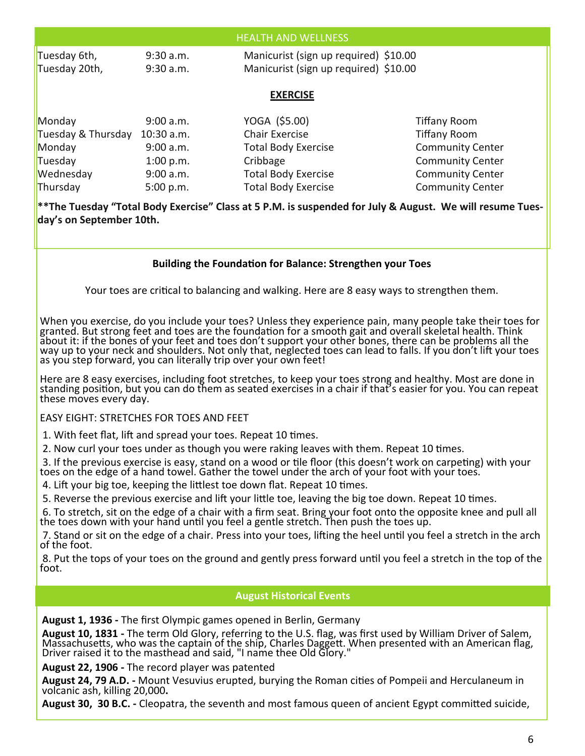| <b>HEALTH AND WELLNESS</b>                                                                                                                  |              |                            |                         |  |  |  |  |  |
|---------------------------------------------------------------------------------------------------------------------------------------------|--------------|----------------------------|-------------------------|--|--|--|--|--|
| Manicurist (sign up required) \$10.00<br>Tuesday 6th,<br>$9:30$ a.m.<br>Manicurist (sign up required) \$10.00<br>Tuesday 20th,<br>9:30 a.m. |              |                            |                         |  |  |  |  |  |
| <b>EXERCISE</b>                                                                                                                             |              |                            |                         |  |  |  |  |  |
| Monday                                                                                                                                      | 9:00 a.m.    | YOGA (\$5.00)              | <b>Tiffany Room</b>     |  |  |  |  |  |
| Tuesday & Thursday                                                                                                                          | $10:30$ a.m. | <b>Chair Exercise</b>      | <b>Tiffany Room</b>     |  |  |  |  |  |
| Monday                                                                                                                                      | 9:00 a.m.    | <b>Total Body Exercise</b> | <b>Community Center</b> |  |  |  |  |  |
| Tuesday                                                                                                                                     | 1:00 p.m.    | Cribbage                   | <b>Community Center</b> |  |  |  |  |  |
| Wednesday                                                                                                                                   | 9:00 a.m.    | <b>Total Body Exercise</b> | <b>Community Center</b> |  |  |  |  |  |
| Thursday                                                                                                                                    | 5:00 p.m.    | <b>Total Body Exercise</b> | <b>Community Center</b> |  |  |  |  |  |

\*\*The Tuesday "Total Body Exercise" Class at 5 P.M. is suspended for July & August. We will resume Tues**day's on September 10th.** 

#### **Building the FoundaƟon for Balance: Strengthen your Toes**

Your toes are critical to balancing and walking. Here are 8 easy ways to strengthen them.

When you exercise, do you include your toes? Unless they experience pain, many people take their toes for granted. But strong feet and toes are the foundation for a smooth gait and overall skeletal health. Think about it: if the bones of your feet and toes don't support your other bones, there can be problems all the way up to your neck and shoulders. Not only that, neglected toes can lead to falls. If you don't lift your toes as you step forward, you can literally trip over your own feet!

Here are 8 easy exercises, including foot stretches, to keep your toes strong and healthy. Most are done in standing position, but you can do them as seated exercises in a chair if that's easier for you. You can repeat<br>these moves every day.

# EASY EIGHT: STRETCHES FOR TOES AND FEET

1. With feet flat, lift and spread your toes. Repeat 10 times.

2. Now curl your toes under as though you were raking leaves with them. Repeat 10 times.

3. If the previous exercise is easy, stand on a wood or tile floor (this doesn't work on carpeting) with your toes on the edge of a hand towel. Gather the towel under the arch of your foot with your toes.

4. Lift your big toe, keeping the littlest toe down flat. Repeat 10 times.

5. Reverse the previous exercise and lift your little toe, leaving the big toe down. Repeat 10 times.

6. To stretch, sit on the edge of a chair with a firm seat. Bring your foot onto the opposite knee and pull all the toes down with your hand until you feel a gentle stretch. Then push the toes up.

7. Stand or sit on the edge of a chair. Press into your toes, lifting the heel until you feel a stretch in the arch of the foot.

8. Put the tops of your toes on the ground and gently press forward unƟl you feel a stretch in the top of the foot.

# **August Historical Events**

**August 1, 1936 ‐** The first Olympic games opened in Berlin, Germany

**August 10, 1831 ‐** The term Old Glory, referring to the U.S. flag, was first used by William Driver of Salem, Massachusetts, who was the captain of the ship, Charles Daggett. When presented with an American flag, Driver raised it to the masthead and said, "I name thee Old Glory."

**August 22, 1906 ‐** The record player was patented

**August 24, 79 A.D.** - Mount Vesuvius erupted, burying the Roman cities of Pompeii and Herculaneum in volcanic ash, killing 20,000**.**

**August 30, 30 B.C.** - Cleopatra, the seventh and most famous queen of ancient Egypt committed suicide,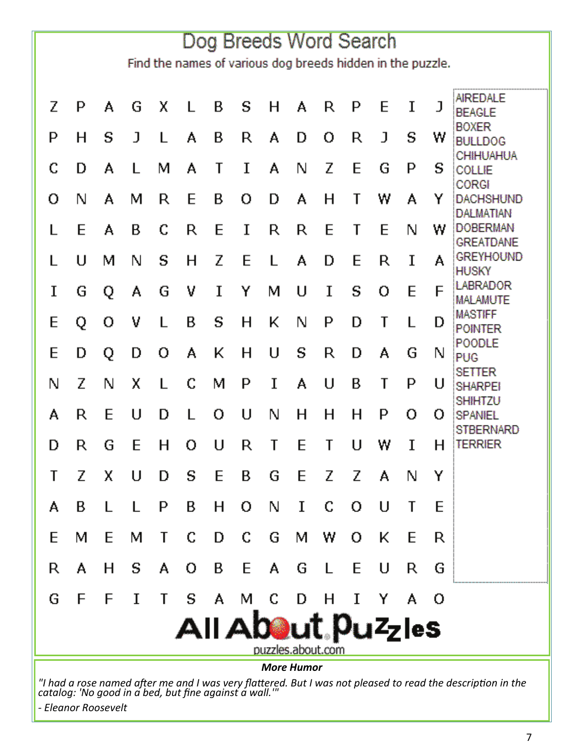| Dog Breeds Word Search                                     |   |   |   |   |   |   |   |    |             |              |    |   |   |     |                                                         |
|------------------------------------------------------------|---|---|---|---|---|---|---|----|-------------|--------------|----|---|---|-----|---------------------------------------------------------|
| Find the names of various dog breeds hidden in the puzzle. |   |   |   |   |   |   |   |    |             |              |    |   |   |     |                                                         |
| Z                                                          | P | A | G | χ | L | В | S | н  | A           | R            | P  | E | I | J   | AIREDALE<br><b>BEAGLE</b>                               |
| P                                                          | н | S | J | L | A | В | R | A  | D           | о            | R  | J | s | w   | <b>BOXER</b><br><b>BULLDOG</b>                          |
| C                                                          | D | A | L | м | A | T | I | A  | N           | Ζ            | E  | G | P | s   | CHIHUAHUA<br>COLLIE                                     |
| о                                                          | N | А | м | R | E | В | о | D  | А           | н            | T  | w | A | Y   | CORGI<br><b>DACHSHUND</b>                               |
| L                                                          | E | A | в | C | R | E | I | R  | R           | E            | T  | E | N | w   | <b>DALMATIAN</b><br><b>DOBERMAN</b><br><b>GREATDANE</b> |
|                                                            | U | м | N | s | н | Z | E | L  | A           | D            | E  | R | I | A   | <b>GREYHOUND</b><br><b>HUSKY</b>                        |
| I                                                          | G | Q | А | G | ٧ | I | Y | м  | U           | I            | S  | О | E | F   | LABRADOR<br>MALAMUTE                                    |
| E                                                          | Q | о | ٧ | L | B | S | н | K  | N           | P            | D  | T | L | D   | <b>MASTIFF</b><br><b>POINTER</b>                        |
| E                                                          | D | Q | D | ο | A | ĸ | н | U  | S           | R            | D  | А | G | N   | POODLE<br><b>PUG</b>                                    |
| N                                                          | Z | N | χ | L | C | м | P | I  | A           | U            | В  | T | P | U   | <b>SETTER</b><br><b>SHARPEI</b>                         |
| A                                                          | R | E | U | D | L | о | U | N  | н           | н            | н  | P | о | 0   | <b>SHIHTZU</b><br>SPANIEL                               |
| D                                                          | R | G | E | н | o | U | R | T  | E           | T            | U  | w | I | н   | STBERNARD<br><b>TERRIER</b>                             |
| Τ                                                          | Ζ | x | U | D | s | E | В | G  |             | EZZA         |    |   | N | Y   |                                                         |
| A                                                          | В | L | L | P | В | н | 0 | N  | $\mathbf I$ | C            | 0  | U | T | E   |                                                         |
| E                                                          | м | E | м | Τ | C | D | C | G  | м           | W            | о  | ĸ | E | R   |                                                         |
| R                                                          | A | н | S | A | 0 | В | E | A. | G           | $\mathsf{L}$ | E  | U | R | G   |                                                         |
| G                                                          | F | F | I | Τ | s | A | м | C  | D           | н            | Ι. | Y | A | - 0 |                                                         |
| All About. Puzzles<br>puzzles.about.com                    |   |   |   |   |   |   |   |    |             |              |    |   |   |     |                                                         |
| <b>More Humor</b>                                          |   |   |   |   |   |   |   |    |             |              |    |   |   |     |                                                         |

"I had a rose named after me and I was very flattered. But I was not pleased to read the description in the *catalog: 'No good in a bed, but fine against a wall.'"* 

*‐ Eleanor Roosevelt*